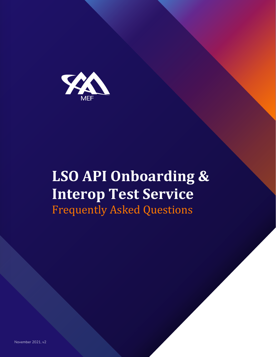

# **LSO API Onboarding & Interop Test Service** Frequently Asked Questions

November 2021, v2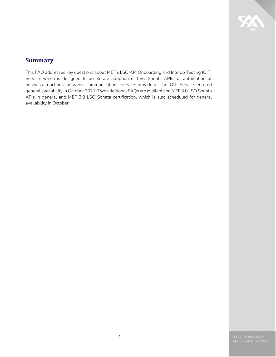

# <span id="page-1-0"></span>**Summary**

This FAQ addresses key questions about MEF's LSO API Onboarding and Interop Testing (OIT) Service, which is designed to accelerate adoption of LSO Sonata APIs for automation of business functions between communications service providers. The OIT Service entered general availability in October 2021. Two additional FAQs are available on MEF 3.0 LSO Sonata APIs in general and MEF 3.0 LSO Sonata certification, which is also scheduled for general availability in October.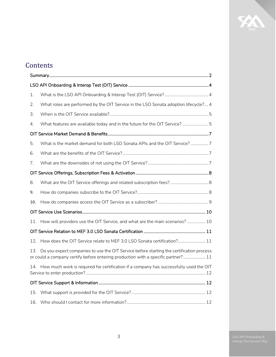# X

# **Contents**

| 1.                                                                                                                                                                                   |                                                                                        |  |  |  |
|--------------------------------------------------------------------------------------------------------------------------------------------------------------------------------------|----------------------------------------------------------------------------------------|--|--|--|
| 2.                                                                                                                                                                                   | What roles are performed by the OIT Service in the LSO Sonata adoption lifecycle? 4    |  |  |  |
| 3.                                                                                                                                                                                   |                                                                                        |  |  |  |
| 4.                                                                                                                                                                                   | What features are available today and in the future for the OIT Service?5              |  |  |  |
|                                                                                                                                                                                      |                                                                                        |  |  |  |
| 5.                                                                                                                                                                                   | What is the market demand for both LSO Sonata APIs and the OIT Service? 7              |  |  |  |
| 6.                                                                                                                                                                                   |                                                                                        |  |  |  |
| 7.                                                                                                                                                                                   |                                                                                        |  |  |  |
|                                                                                                                                                                                      |                                                                                        |  |  |  |
| 8.                                                                                                                                                                                   |                                                                                        |  |  |  |
| 9.                                                                                                                                                                                   |                                                                                        |  |  |  |
| 10.                                                                                                                                                                                  |                                                                                        |  |  |  |
|                                                                                                                                                                                      |                                                                                        |  |  |  |
| 11.                                                                                                                                                                                  | How will providers use the OIT Service, and what are the main scenarios?  10           |  |  |  |
|                                                                                                                                                                                      |                                                                                        |  |  |  |
| 12.                                                                                                                                                                                  | How does the OIT Service relate to MEF 3.0 LSO Sonata certification? 11                |  |  |  |
| Do you expect companies to use the OIT Service before starting the certification process<br>13.<br>or could a company certify before entering production with a specific partner? 11 |                                                                                        |  |  |  |
| 14.                                                                                                                                                                                  | How much work is required for certification if a company has successfully used the OIT |  |  |  |
|                                                                                                                                                                                      |                                                                                        |  |  |  |
| 15.                                                                                                                                                                                  |                                                                                        |  |  |  |
| 16.                                                                                                                                                                                  |                                                                                        |  |  |  |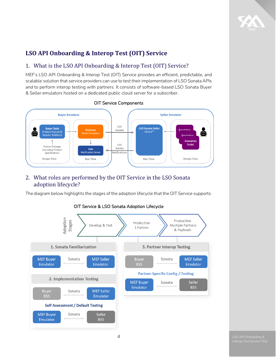

# <span id="page-3-0"></span>**LSO API Onboarding & Interop Test (OIT) Service**

# <span id="page-3-1"></span>1. What is the LSO API Onboarding & Interop Test (OIT) Service?

MEF's LSO API Onboarding & Interop Test (OIT) Service provides an efficient, predictable, and scalable solution that service providers can use to test their implementation of LSO Sonata APIs and to perform interop testing with partners. It consists of software-based LSO Sonata Buyer & Seller emulators hosted on a dedicated public cloud server for a subscriber.



#### OIT Service Components

# <span id="page-3-2"></span>2. What roles are performed by the OIT Service in the LSO Sonata adoption lifecycle?

The diagram below highlights the stages of the adoption lifecycle that the OIT Service supports.



#### OIT Service & LSO Sonata Adoption Lifecycle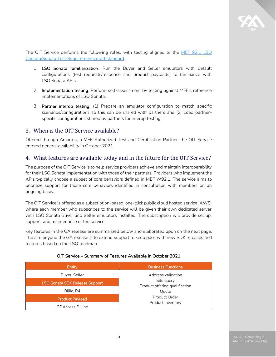

The OIT Service performs the following roles, with testing aligned to the MEF 92.1 LSO [Cantata/Sonata Test Requirements draft standard.](https://www.mef.net/resources/mef-92-1-lso-cantata-sonata-test-requirements/)

- 1. LSO Sonata familiarization. Run the Buyer and Seller emulators with default configurations (test requests/response and product payloads) to familiarize with LSO Sonata APIs.
- 2. **Implementation testing**. Perform self-assessment by testing against MEF's reference implementations of LSO Sonata.
- 3. Partner interop testing. (1) Prepare an emulator configuration to match specific scenarios/configurations so this can be shared with partners and (2) Load partnerspecific configurations shared by partners for interop testing.

#### <span id="page-4-0"></span>3. When is the OIT Service available?

Offered through Amartus, a MEF-Authorized Test and Certification Partner, the OIT Service entered general availability in October 2021.

#### <span id="page-4-1"></span>4. What features are available today and in the future for the OIT Service?

The purpose of the OIT Service is to help service providers achieve and maintain interoperability for their LSO Sonata implementation with those of their partners. Providers who implement the APIs typically choose a subset of core behaviors defined in MEF W92.1. The service aims to prioritize support for those core behaviors identified in consultation with members on an ongoing basis.

The OIT Service is offered as a subscription-based, one-click public cloud hosted service (AWS) where each member who subscribes to the service will be given their own dedicated server with LSO Sonata Buyer and Seller emulators installed. The subscription will provide set up, support, and maintenance of the service.

Key features in the GA release are summarized below and elaborated upon on the next page. The aim beyond the GA release is to extend support to keep pace with new SDK releases and features based on the LSO roadmap.

| Entity                                | <b>Business Functions</b>                                                                   |
|---------------------------------------|---------------------------------------------------------------------------------------------|
| Buyer, Seller                         | Address validation                                                                          |
| <b>LSO Sonata SDK Release Support</b> | Site query<br>Product offering qualification<br>Ouote<br>Product Order<br>Product Inventory |
| Billie, R4                            |                                                                                             |
| <b>Product Payload</b>                |                                                                                             |
| CE Access E-Line                      |                                                                                             |

#### OIT Service – Summary of Features Available in October 2021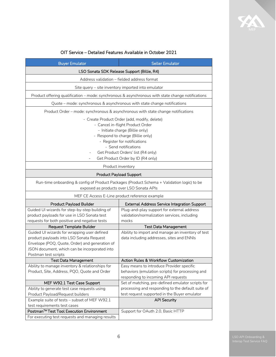

| <b>Buyer Emulator</b>                                                                                                                                                                                                                                                                       | <b>Seller Emulator</b>                                                                                                               |  |  |  |
|---------------------------------------------------------------------------------------------------------------------------------------------------------------------------------------------------------------------------------------------------------------------------------------------|--------------------------------------------------------------------------------------------------------------------------------------|--|--|--|
| LSO Sonata SDK Release Support (Billie, R4)                                                                                                                                                                                                                                                 |                                                                                                                                      |  |  |  |
| Address validation - fielded address format                                                                                                                                                                                                                                                 |                                                                                                                                      |  |  |  |
| Site query - site inventory imported into emulator                                                                                                                                                                                                                                          |                                                                                                                                      |  |  |  |
|                                                                                                                                                                                                                                                                                             | Product offering qualification - mode: synchronous & asynchronous with state change notifications                                    |  |  |  |
|                                                                                                                                                                                                                                                                                             | Quote - mode: synchronous & asynchronous with state change notifications                                                             |  |  |  |
| Product Order - mode: synchronous & asynchronous with state change notifications                                                                                                                                                                                                            |                                                                                                                                      |  |  |  |
| - Create Product Order (add, modify, delete)<br>- Cancel in-flight Product Order<br>- Initiate charge (Billie only)<br>- Respond to charge (Billie only)<br>- Register for notifications<br>- Send notifications<br>Get Product Orders' list (R4 only)<br>Get Product Order by ID (R4 only) |                                                                                                                                      |  |  |  |
| Product inventory                                                                                                                                                                                                                                                                           |                                                                                                                                      |  |  |  |
|                                                                                                                                                                                                                                                                                             | <b>Product Payload Support</b>                                                                                                       |  |  |  |
| Run-time onboarding & config of Product Packages (Product Schema + Validation logic) to be<br>exposed as products over LSO Sonata APIs<br>MEF CE Access E-Line product reference example                                                                                                    |                                                                                                                                      |  |  |  |
| <b>Product Payload Builder</b>                                                                                                                                                                                                                                                              | <b>External Address Service Integration Support</b>                                                                                  |  |  |  |
| Guided UI wizards for step-by-step building of<br>product payloads for use in LSO Sonata test<br>requests for both positive and negative tests                                                                                                                                              | Plug-and-play support for external address<br>validation/normalization services, including<br>mocks                                  |  |  |  |
| <b>Request Template Builder</b>                                                                                                                                                                                                                                                             | <b>Test Data Management</b>                                                                                                          |  |  |  |
| Guided UI wizards for wrapping user defined<br>product payloads into LSO Sonata Request<br>Envelope (POQ, Quote, Order) and generation of<br>JSON document, which can be incorporated into<br>Postman test scripts                                                                          | Ability to import and manage an inventory of test<br>data including addresses, sites and ENNIs                                       |  |  |  |
| <b>Test Data Management</b>                                                                                                                                                                                                                                                                 | Action Rules & Workflow Customization                                                                                                |  |  |  |
| Ability to manage inventory & relationships for<br>Product, Site, Address, PQO, Quote and Order                                                                                                                                                                                             | Easy means to introduce Provider specific<br>behaviors (emulation scripts) for processing and<br>responding to incoming API requests |  |  |  |
| MEF W92.1 Test Case Support                                                                                                                                                                                                                                                                 | Set of matching, pre-defined emulator scripts for                                                                                    |  |  |  |
| Ability to generate test case requests using                                                                                                                                                                                                                                                | processing and responding to the default suite of                                                                                    |  |  |  |
| Product Payload/Request builders                                                                                                                                                                                                                                                            | test request supported in the Buyer emulator                                                                                         |  |  |  |
| Example suite of tests - subset of MEF W92.1                                                                                                                                                                                                                                                | <b>API Security</b>                                                                                                                  |  |  |  |
| test requirements test cases                                                                                                                                                                                                                                                                |                                                                                                                                      |  |  |  |
| Postman™ Test Tool Execution Environment<br>For executing test requests and managing results                                                                                                                                                                                                | Support for OAuth 2.0, Basic HTTP                                                                                                    |  |  |  |
|                                                                                                                                                                                                                                                                                             |                                                                                                                                      |  |  |  |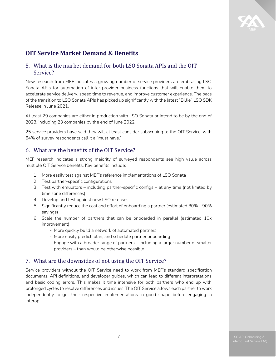

# <span id="page-6-0"></span>**OIT Service Market Demand & Benefits**

# <span id="page-6-1"></span>5. What is the market demand for both LSO Sonata APIs and the OIT Service?

New research from MEF indicates a growing number of service providers are embracing LSO Sonata APIs for automation of inter-provider business functions that will enable them to accelerate service delivery, speed time to revenue, and improve customer experience. The pace of the transition to LSO Sonata APIs has picked up significantly with the latest "Billie" LSO SDK Release in June 2021.

At least 29 companies are either in production with LSO Sonata or intend to be by the end of 2023, including 23 companies by the end of June 2022.

25 service providers have said they will at least consider subscribing to the OIT Service, with 64% of survey respondents call it a "must have."

#### <span id="page-6-2"></span>6. What are the benefits of the OIT Service?

MEF research indicates a strong majority of surveyed respondents see high value across multiple OIT Service benefits. Key benefits include:

- 1. More easily test against MEF's reference implementations of LSO Sonata
- 2. Test partner-specific configurations
- 3. Test with emulators including partner-specific configs at any time (not limited by time zone differences)
- 4. Develop and test against new LSO releases
- 5. Significantly reduce the cost and effort of onboarding a partner (estimated 80% 90% savings)
- 6. Scale the number of partners that can be onboarded in parallel (estimated 10x improvement)
	- More quickly build a network of automated partners
	- More easily predict, plan, and schedule partner onboarding
	- Engage with a broader range of partners including a larger number of smaller providers – than would be otherwise possible

#### <span id="page-6-3"></span>7. What are the downsides of not using the OIT Service?

Service providers without the OIT Service need to work from MEF's standard specification documents, API definitions, and developer guides, which can lead to different interpretations and basic coding errors. This makes it time intensive for both partners who end up with prolonged cycles to resolve differences and issues. The OIT Service allows each partner to work independently to get their respective implementations in good shape before engaging in interop.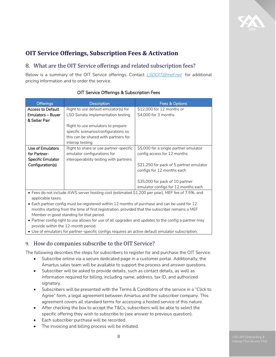

# <span id="page-7-0"></span>**OIT Service Offerings, Subscription Fees & Activation**

# <span id="page-7-1"></span>8. What are the OIT Service offerings and related subscription fees?

Below is a summary of the OIT Service offerings. Contact *LSOOIT@mef.net* for additional pricing information and to order the service.

| <b>Offerings</b>                                                                                     | <b>Description</b>                     | Fees & Options                          |  |  |  |  |
|------------------------------------------------------------------------------------------------------|----------------------------------------|-----------------------------------------|--|--|--|--|
| <b>Access to Default</b>                                                                             | Right to use default emulator(s) for   | \$12,000 for 12 months or               |  |  |  |  |
| Emulators – Buyer                                                                                    | LSO Sonata implementation testing      | \$4,000 for 3 months                    |  |  |  |  |
| & Seller Pair                                                                                        |                                        |                                         |  |  |  |  |
|                                                                                                      | Right to use emulators to prepare      |                                         |  |  |  |  |
|                                                                                                      | specific scenarios/configurations so   |                                         |  |  |  |  |
|                                                                                                      | this can be shared with partners for   |                                         |  |  |  |  |
|                                                                                                      | interop testing                        |                                         |  |  |  |  |
| Use of Emulators                                                                                     | Right to share or use partner-specific | \$5,000 for a single partner emulator   |  |  |  |  |
| for Partner-                                                                                         | emulator configurations for            | config access for 12 months             |  |  |  |  |
| <b>Specific Emulator</b>                                                                             | interoperability testing with partners |                                         |  |  |  |  |
| Configuration(s)                                                                                     |                                        | \$21,250 for pack of 5 partner emulator |  |  |  |  |
|                                                                                                      |                                        | configs for 12 months each              |  |  |  |  |
|                                                                                                      |                                        |                                         |  |  |  |  |
|                                                                                                      |                                        | \$35,000 for pack of 10 partner         |  |  |  |  |
|                                                                                                      |                                        | emulator configs for 12 months each     |  |  |  |  |
| • Fees do not include AWS server hosting cost (estimated \$1,200 per year), MEF fee of 7.5%, and     |                                        |                                         |  |  |  |  |
| applicable taxes.                                                                                    |                                        |                                         |  |  |  |  |
| • Each partner config must be registered within 12 months of purchase and can be used for 12         |                                        |                                         |  |  |  |  |
| months starting from the time of first registration, provided that the subscriber remains a MEF      |                                        |                                         |  |  |  |  |
| Member in good standing for that period.                                                             |                                        |                                         |  |  |  |  |
| • Partner config right to use allows for use of all upgrades and updates to the config a partner may |                                        |                                         |  |  |  |  |
| provide within the 12-month period.                                                                  |                                        |                                         |  |  |  |  |
| • Use of emulators for partner-specific configs requires an active default emulator subscription.    |                                        |                                         |  |  |  |  |
|                                                                                                      |                                        |                                         |  |  |  |  |

#### OIT Service Offerings & Subscription Fees

# <span id="page-7-2"></span>9. How do companies subscribe to the OIT Service?

The following describes the steps for subscribers to register for and purchase the OIT Service.

- Subscribe online via a secure dedicated page in a customer portal. Additionally, the Amartus sales team will be available to support the process and answer questions.
- Subscriber will be asked to provide details, such as contact details, as well as information required for billing, including name, address, tax ID, and authorized signatory.
- Subscribers will be presented with the Terms & Conditions of the service in a "Click to Agree" form, a legal agreement between Amartus and the subscriber company. This agreement covers all standard terms for accessing a hosted service of this nature.
- After checking the box to accept the T&Cs, subscribers will be able to select the specific offering they wish to subscribe to (see answer to previous question).
- Each subscriber purchase will be recorded.
- The invoicing and billing process will be initiated.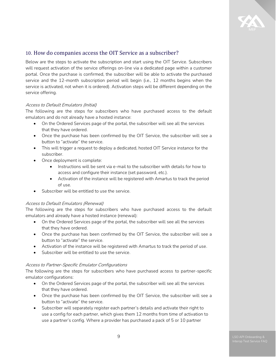

#### <span id="page-8-0"></span>10. How do companies access the OIT Service as a subscriber?

Below are the steps to activate the subscription and start using the OIT Service. Subscribers will request activation of the service offerings on-line via a dedicated page within a customer portal. Once the purchase is confirmed, the subscriber will be able to activate the purchased service and the 12-month subscription period will begin (i.e., 12 months begins when the service is activated, not when it is ordered). Activation steps will be different depending on the service offering.

#### Access to Default Emulators (Initial)

The following are the steps for subscribers who have purchased access to the default emulators and do not already have a hosted instance:

- On the Ordered Services page of the portal, the subscriber will see all the services that they have ordered.
- Once the purchase has been confirmed by the OIT Service, the subscriber will see a button to "activate" the service.
- This will trigger a request to deploy a dedicated, hosted OIT Service instance for the subscriber.
- Once deployment is complete:
	- Instructions will be sent via e-mail to the subscriber with details for how to access and configure their instance (set password, etc.).
	- Activation of the instance will be registered with Amartus to track the period of use.
- Subscriber will be entitled to use the service.

#### Access to Default Emulators (Renewal)

The following are the steps for subscribers who have purchased access to the default emulators and already have a hosted instance (renewal):

- On the Ordered Services page of the portal, the subscriber will see all the services that they have ordered.
- Once the purchase has been confirmed by the OIT Service, the subscriber will see a button to "activate" the service.
- Activation of the instance will be registered with Amartus to track the period of use.
- Subscriber will be entitled to use the service.

#### Access to Partner-Specific Emulator Configurations

The following are the steps for subscribers who have purchased access to partner-specific emulator configurations:

- On the Ordered Services page of the portal, the subscriber will see all the services that they have ordered.
- Once the purchase has been confirmed by the OIT Service, the subscriber will see a button to "activate" the service.
- Subscriber will separately register each partner's details and activate their right to use a config for each partner, which gives them 12 months from time of activation to use a partner's config. Where a provider has purchased a pack of 5 or 10 partner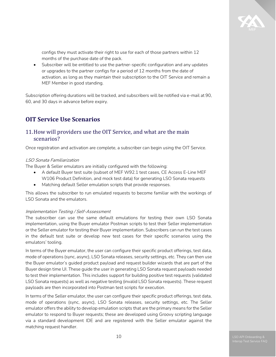configs they must activate their right to use for each of those partners within 12 months of the purchase date of the pack.

• Subscriber will be entitled to use the partner-specific configuration and any updates or upgrades to the partner configs for a period of 12 months from the date of activation, as long as they maintain their subscription to the OIT Service and remain a MEF Member in good standing.

Subscription offering durations will be tracked, and subscribers will be notified via e-mail at 90, 60, and 30 days in advance before expiry.

# <span id="page-9-0"></span>**OIT Service Use Scenarios**

#### <span id="page-9-1"></span>11.How will providers use the OIT Service, and what are the main scenarios?

Once registration and activation are complete, a subscriber can begin using the OIT Service.

#### LSO Sonata Familiarization

The Buyer & Seller emulators are initially configured with the following:

- A default Buyer test suite (subset of MEF W92.1 test cases, CE Access E-Line MEF W106 Product Definition, and mock test data) for generating LSO Sonata requests
- Matching default Seller emulation scripts that provide responses.

This allows the subscriber to run emulated requests to become familiar with the workings of LSO Sonata and the emulators.

#### Implementation Testing / Self-Assessment

The subscriber can use the same default emulations for testing their own LSO Sonata implementation, using the Buyer emulator Postman scripts to test their Seller implementation or the Seller emulator for testing their Buyer implementation. Subscribers can run the test cases in the default test suite or develop new test cases for their specific scenarios using the emulators' tooling.

In terms of the Buyer emulator, the user can configure their specific product offerings, test data, mode of operations (sync, async), LSO Sonata releases, security settings, etc. They can then use the Buyer emulator's guided product payload and request builder wizards that are part of the Buyer design time UI. These guide the user in generating LSO Sonata request payloads needed to test their implementation. This includes support for building positive test requests (validated LSO Sonata requests) as well as negative testing (invalid LSO Sonata requests). These request payloads are then incorporated into Postman test scripts for execution.

In terms of the Seller emulator, the user can configure their specific product offerings, test data, mode of operations (sync, async), LSO Sonata releases, security settings, etc. The Seller emulator offers the ability to develop emulation scripts that are the primary means for the Seller emulator to respond to Buyer requests; these are developed using Groovy scripting language via a standard development IDE and are registered with the Seller emulator against the matching request handler.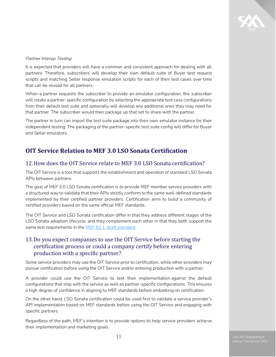

#### Partner Interop Testing

It is expected that providers will have a common and consistent approach for dealing with all partners. Therefore, subscribers will develop their own default suite of Buyer test request scripts and matching Seller response emulation scripts for each of their test cases over time that can be reused for all partners.

When a partner requests the subscriber to provide an emulator configuration, the subscriber will create a partner-specific configuration by selecting the appropriate test case configurations from their default test suite and optionally will develop any additional ones they may need for that partner. The subscriber would then package up that set to share with the partner.

The partner in turn can import the test suite package into their own emulator instance for their independent testing. The packaging of the partner-specific test suite config will differ for Buyer and Seller emulators.

# <span id="page-10-0"></span>**OIT Service Relation to MEF 3.0 LSO Sonata Certification**

#### <span id="page-10-1"></span>12.How does the OIT Service relate to MEF 3.0 LSO Sonata certification?

The OIT Service is a tool that supports the establishment and operation of standard LSO Sonata APIs between partners.

The goal of MEF 3.0 LSO Sonata certification is to provide MEF member service providers with a structured way to validate that their APIs strictly conform to the same well-defined standards implemented by their certified partner providers. Certification aims to build a community of certified providers based on the same official MEF standards.

The OIT Service and LSO Sonata certification differ in that they address different stages of the LSO Sonata adoption lifecycle, and they complement each other in that they both support the same test requirements in the MEF 92.1. draft [standard.](https://www.mef.net/resources/mef-92-1-lso-cantata-sonata-test-requirements/)

#### <span id="page-10-2"></span>13.Do you expect companies to use the OIT Service before starting the certification process or could a company certify before entering production with a specific partner?

Some service providers may use the OIT Service prior to certification, while other providers may pursue certification before using the OIT Service and/or entering production with a partner.

A provider could use the OIT Service to test their implementation against the default configurations that ship with the service as well as partner-specific configurations. This ensures a high degree of confidence in aligning to MEF standards before embarking on certification.

On the other hand, LSO Sonata certification could be used first to validate a service provider's API implementation based on MEF standards before using the OIT Service and engaging with specific partners.

Regardless of the path, MEF's intention is to provide options to help service providers achieve their implementation and marketing goals.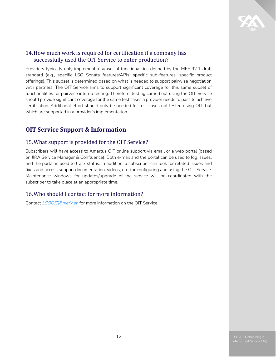

# <span id="page-11-0"></span>14.How much work is required for certification if a company has successfully used the OIT Service to enter production?

Providers typically only implement a subset of functionalities defined by the MEF 92.1 draft standard (e.g., specific LSO Sonata features/APIs, specific sub-features, specific product offerings). This subset is determined based on what is needed to support pairwise negotiation with partners. The OIT Service aims to support significant coverage for this same subset of functionalities for pairwise interop testing. Therefore, testing carried out using the OIT Service should provide significant coverage for the same test cases a provider needs to pass to achieve certification. Additional effort should only be needed for test cases not tested using OIT, but which are supported in a provider's implementation.

# <span id="page-11-1"></span>**OIT Service Support & Information**

# <span id="page-11-2"></span>15.What support is provided for the OIT Service?

Subscribers will have access to Amartus OIT online support via email or a web portal (based on JIRA Service Manager & Confluence). Both e-mail and the portal can be used to log issues, and the portal is used to track status. In addition, a subscriber can look for related issues and fixes and access support documentation, videos, etc. for configuring and using the OIT Service. Maintenance windows for updates/upgrade of the service will be coordinated with the subscriber to take place at an appropriate time.

# <span id="page-11-3"></span>16.Who should I contact for more information?

Contact *LSOOIT@mef.net* for more information on the OIT Service.